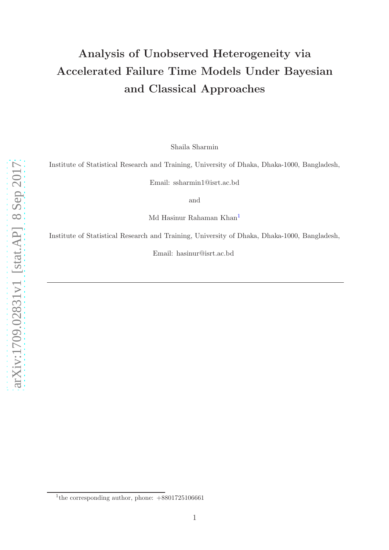# Analysis of Unobserved Heterogeneity via Accelerated Failure Time Models Under Bayesian and Classical Approaches

Shaila Sharmin

Institute of Statistical Research and Training, University of Dhaka, Dhaka-1000, Bangladesh,

Email: ssharmin1@isrt.ac.bd

and

Md Hasinur Rahaman Khan [1](#page-0-0)

Institute of Statistical Research and Training, University of Dhaka, Dhaka-1000, Bangladesh,

Email: hasinur@isrt.ac.bd

<span id="page-0-0"></span><sup>&</sup>lt;sup>1</sup>the corresponding author, phone:  $+8801725106661$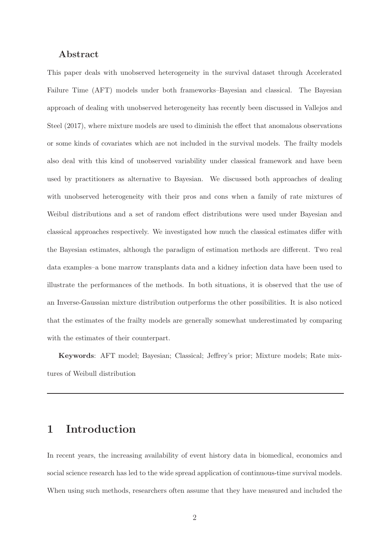#### Abstract

This paper deals with unobserved heterogeneity in the survival dataset through Accelerated Failure Time (AFT) models under both frameworks–Bayesian and classical. The Bayesian approach of dealing with unobserved heterogeneity has recently been discussed in Vallejos and Steel (2017), where mixture models are used to diminish the effect that anomalous observations or some kinds of covariates which are not included in the survival models. The frailty models also deal with this kind of unobserved variability under classical framework and have been used by practitioners as alternative to Bayesian. We discussed both approaches of dealing with unobserved heterogeneity with their pros and cons when a family of rate mixtures of Weibul distributions and a set of random effect distributions were used under Bayesian and classical approaches respectively. We investigated how much the classical estimates differ with the Bayesian estimates, although the paradigm of estimation methods are different. Two real data examples–a bone marrow transplants data and a kidney infection data have been used to illustrate the performances of the methods. In both situations, it is observed that the use of an Inverse-Gaussian mixture distribution outperforms the other possibilities. It is also noticed that the estimates of the frailty models are generally somewhat underestimated by comparing with the estimates of their counterpart.

Keywords: AFT model; Bayesian; Classical; Jeffrey's prior; Mixture models; Rate mixtures of Weibull distribution

# 1 Introduction

In recent years, the increasing availability of event history data in biomedical, economics and social science research has led to the wide spread application of continuous-time survival models. When using such methods, researchers often assume that they have measured and included the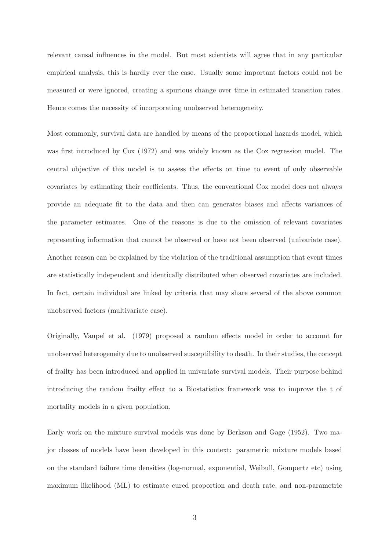relevant causal influences in the model. But most scientists will agree that in any particular empirical analysis, this is hardly ever the case. Usually some important factors could not be measured or were ignored, creating a spurious change over time in estimated transition rates. Hence comes the necessity of incorporating unobserved heterogeneity.

Most commonly, survival data are handled by means of the proportional hazards model, which was first introduced by Cox (1972) and was widely known as the Cox regression model. The central objective of this model is to assess the effects on time to event of only observable covariates by estimating their coefficients. Thus, the conventional Cox model does not always provide an adequate fit to the data and then can generates biases and affects variances of the parameter estimates. One of the reasons is due to the omission of relevant covariates representing information that cannot be observed or have not been observed (univariate case). Another reason can be explained by the violation of the traditional assumption that event times are statistically independent and identically distributed when observed covariates are included. In fact, certain individual are linked by criteria that may share several of the above common unobserved factors (multivariate case).

Originally, Vaupel et al. (1979) proposed a random effects model in order to account for unobserved heterogeneity due to unobserved susceptibility to death. In their studies, the concept of frailty has been introduced and applied in univariate survival models. Their purpose behind introducing the random frailty effect to a Biostatistics framework was to improve the t of mortality models in a given population.

Early work on the mixture survival models was done by Berkson and Gage (1952). Two major classes of models have been developed in this context: parametric mixture models based on the standard failure time densities (log-normal, exponential, Weibull, Gompertz etc) using maximum likelihood (ML) to estimate cured proportion and death rate, and non-parametric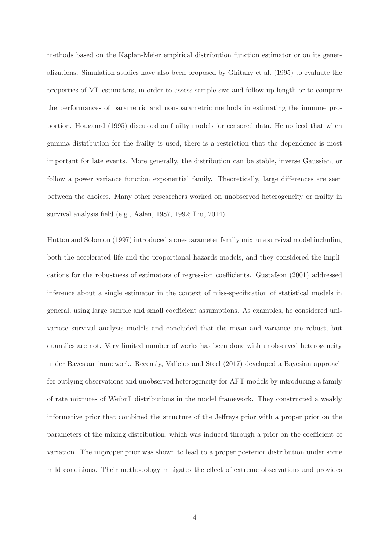methods based on the Kaplan-Meier empirical distribution function estimator or on its generalizations. Simulation studies have also been proposed by Ghitany et al. (1995) to evaluate the properties of ML estimators, in order to assess sample size and follow-up length or to compare the performances of parametric and non-parametric methods in estimating the immune proportion. Hougaard (1995) discussed on frailty models for censored data. He noticed that when gamma distribution for the frailty is used, there is a restriction that the dependence is most important for late events. More generally, the distribution can be stable, inverse Gaussian, or follow a power variance function exponential family. Theoretically, large differences are seen between the choices. Many other researchers worked on unobserved heterogeneity or frailty in survival analysis field (e.g., Aalen, 1987, 1992; Liu, 2014).

Hutton and Solomon (1997) introduced a one-parameter family mixture survival model including both the accelerated life and the proportional hazards models, and they considered the implications for the robustness of estimators of regression coefficients. Gustafson (2001) addressed inference about a single estimator in the context of miss-specification of statistical models in general, using large sample and small coefficient assumptions. As examples, he considered univariate survival analysis models and concluded that the mean and variance are robust, but quantiles are not. Very limited number of works has been done with unobserved heterogeneity under Bayesian framework. Recently, Vallejos and Steel (2017) developed a Bayesian approach for outlying observations and unobserved heterogeneity for AFT models by introducing a family of rate mixtures of Weibull distributions in the model framework. They constructed a weakly informative prior that combined the structure of the Jeffreys prior with a proper prior on the parameters of the mixing distribution, which was induced through a prior on the coefficient of variation. The improper prior was shown to lead to a proper posterior distribution under some mild conditions. Their methodology mitigates the effect of extreme observations and provides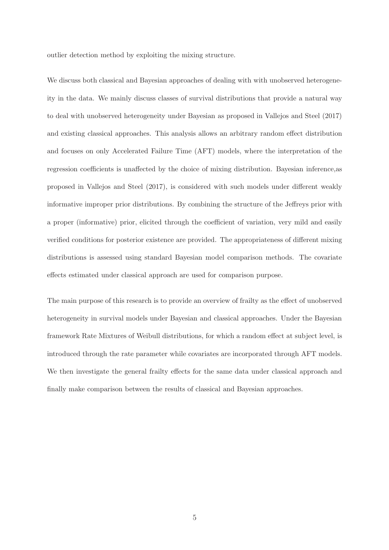outlier detection method by exploiting the mixing structure.

We discuss both classical and Bayesian approaches of dealing with with unobserved heterogeneity in the data. We mainly discuss classes of survival distributions that provide a natural way to deal with unobserved heterogeneity under Bayesian as proposed in Vallejos and Steel (2017) and existing classical approaches. This analysis allows an arbitrary random effect distribution and focuses on only Accelerated Failure Time (AFT) models, where the interpretation of the regression coefficients is unaffected by the choice of mixing distribution. Bayesian inference,as proposed in Vallejos and Steel (2017), is considered with such models under different weakly informative improper prior distributions. By combining the structure of the Jeffreys prior with a proper (informative) prior, elicited through the coefficient of variation, very mild and easily verified conditions for posterior existence are provided. The appropriateness of different mixing distributions is assessed using standard Bayesian model comparison methods. The covariate effects estimated under classical approach are used for comparison purpose.

The main purpose of this research is to provide an overview of frailty as the effect of unobserved heterogeneity in survival models under Bayesian and classical approaches. Under the Bayesian framework Rate Mixtures of Weibull distributions, for which a random effect at subject level, is introduced through the rate parameter while covariates are incorporated through AFT models. We then investigate the general frailty effects for the same data under classical approach and finally make comparison between the results of classical and Bayesian approaches.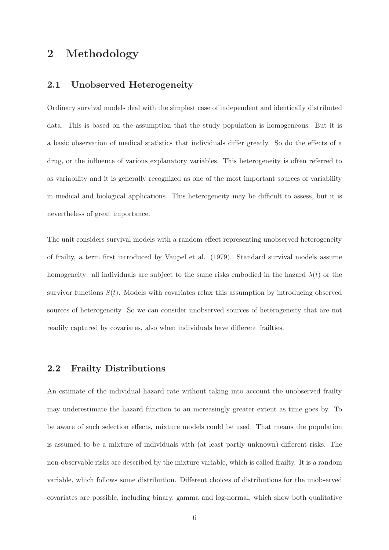### 2 Methodology

#### 2.1 Unobserved Heterogeneity

Ordinary survival models deal with the simplest case of independent and identically distributed data. This is based on the assumption that the study population is homogeneous. But it is a basic observation of medical statistics that individuals differ greatly. So do the effects of a drug, or the influence of various explanatory variables. This heterogeneity is often referred to as variability and it is generally recognized as one of the most important sources of variability in medical and biological applications. This heterogeneity may be difficult to assess, but it is nevertheless of great importance.

The unit considers survival models with a random effect representing unobserved heterogeneity of frailty, a term first introduced by Vaupel et al. (1979). Standard survival models assume homogeneity: all individuals are subject to the same risks embodied in the hazard  $\lambda(t)$  or the survivor functions  $S(t)$ . Models with covariates relax this assumption by introducing observed sources of heterogeneity. So we can consider unobserved sources of heterogeneity that are not readily captured by covariates, also when individuals have different frailties.

#### 2.2 Frailty Distributions

An estimate of the individual hazard rate without taking into account the unobserved frailty may underestimate the hazard function to an increasingly greater extent as time goes by. To be aware of such selection effects, mixture models could be used. That means the population is assumed to be a mixture of individuals with (at least partly unknown) different risks. The non-observable risks are described by the mixture variable, which is called frailty. It is a random variable, which follows some distribution. Different choices of distributions for the unobserved covariates are possible, including binary, gamma and log-normal, which show both qualitative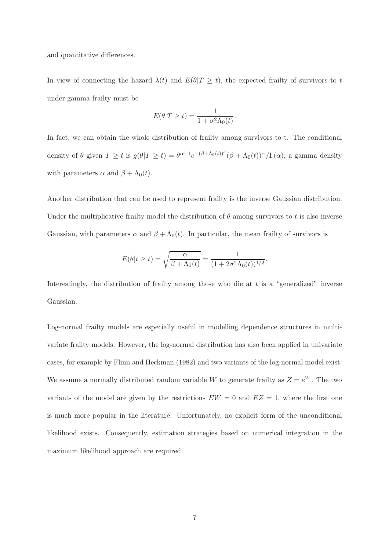and quantitative differences.

In view of connecting the hazard  $\lambda(t)$  and  $E(\theta|T \geq t)$ , the expected frailty of survivors to t under gamma frailty must be

$$
E(\theta|T \ge t) = \frac{1}{1 + \sigma^2 \Lambda_0(t)}.
$$

In fact, we can obtain the whole distribution of frailty among survivors to t. The conditional density of  $\theta$  given  $T \ge t$  is  $g(\theta | T \ge t) = \theta^{\alpha-1} e^{-(\beta+\Lambda_0(t))^\theta} (\beta + \Lambda_0(t))^{\alpha} / \Gamma(\alpha)$ ; a gamma density with parameters  $\alpha$  and  $\beta + \Lambda_0(t)$ .

Another distribution that can be used to represent frailty is the inverse Gaussian distribution. Under the multiplicative frailty model the distribution of  $\theta$  among survivors to t is also inverse Gaussian, with parameters  $\alpha$  and  $\beta + \Lambda_0(t)$ . In particular, the mean frailty of survivors is

$$
E(\theta | t \ge t) = \sqrt{\frac{\alpha}{\beta + \Lambda_0(t)}} = \frac{1}{(1 + 2\sigma^2 \Lambda_0(t))^{1/2}}.
$$

Interestingly, the distribution of frailty among those who die at  $t$  is a "generalized" inverse Gaussian.

Log-normal frailty models are especially useful in modelling dependence structures in multivariate frailty models. However, the log-normal distribution has also been applied in univariate cases, for example by Flinn and Heckman (1982) and two variants of the log-normal model exist. We assume a normally distributed random variable W to generate frailty as  $Z = e^W$ . The two variants of the model are given by the restrictions  $EW = 0$  and  $EZ = 1$ , where the first one is much more popular in the literature. Unfortunately, no explicit form of the unconditional likelihood exists. Consequently, estimation strategies based on numerical integration in the maximum likelihood approach are required.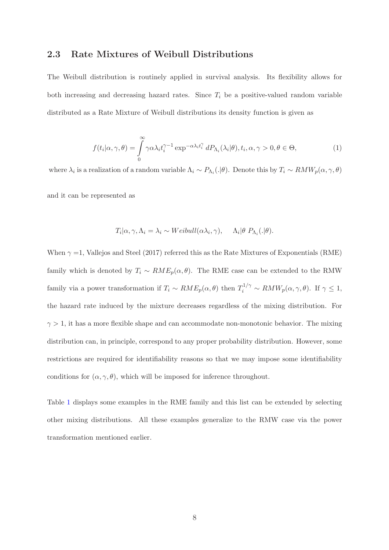#### 2.3 Rate Mixtures of Weibull Distributions

The Weibull distribution is routinely applied in survival analysis. Its flexibility allows for both increasing and decreasing hazard rates. Since  $T_i$  be a positive-valued random variable distributed as a Rate Mixture of Weibull distributions its density function is given as

<span id="page-7-0"></span>
$$
f(t_i|\alpha,\gamma,\theta) = \int_0^\infty \gamma \alpha \lambda_i t_i^{\gamma-1} \exp^{-\alpha \lambda_i t_i^\gamma} dP_{\Lambda_i}(\lambda_i|\theta), t_i, \alpha, \gamma > 0, \theta \in \Theta,
$$
\n(1)

where  $\lambda_i$  is a realization of a random variable  $\Lambda_i \sim P_{\Lambda_i}(.|\theta)$ . Denote this by  $T_i \sim RMW_p(\alpha, \gamma, \theta)$ 

and it can be represented as

$$
T_i|\alpha, \gamma, \Lambda_i = \lambda_i \sim Weibull(\alpha \lambda_i, \gamma), \quad \Lambda_i|\theta \ P_{\Lambda_i}(.|\theta).
$$

When  $\gamma =1$ , Vallejos and Steel (2017) referred this as the Rate Mixtures of Exponentials (RME) family which is denoted by  $T_i \sim RME_p(\alpha, \theta)$ . The RME case can be extended to the RMW family via a power transformation if  $T_i \sim RME_p(\alpha, \theta)$  then  $T_i^{1/\gamma} \sim RMW_p(\alpha, \gamma, \theta)$ . If  $\gamma \leq 1$ , the hazard rate induced by the mixture decreases regardless of the mixing distribution. For  $\gamma > 1$ , it has a more flexible shape and can accommodate non-monotonic behavior. The mixing distribution can, in principle, correspond to any proper probability distribution. However, some restrictions are required for identifiability reasons so that we may impose some identifiability conditions for  $(\alpha, \gamma, \theta)$ , which will be imposed for inference throughout.

Table [1](#page-8-0) displays some examples in the RME family and this list can be extended by selecting other mixing distributions. All these examples generalize to the RMW case via the power transformation mentioned earlier.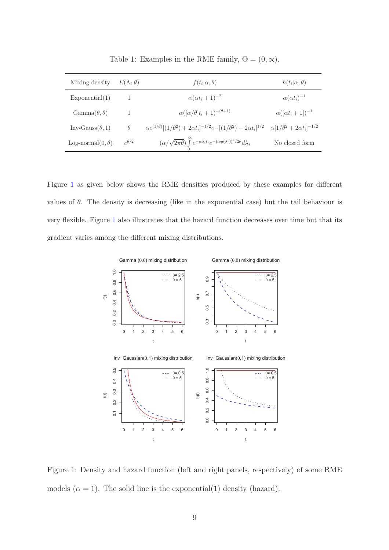| Mixing density                 | $E(\Lambda_i \theta)$ | $f(t_i \alpha, \theta)$                                                                                     | $h(t_i \alpha, \theta)$                   |
|--------------------------------|-----------------------|-------------------------------------------------------------------------------------------------------------|-------------------------------------------|
| Exponential(1)                 |                       | $\alpha(\alpha t_i+1)^{-2}$                                                                                 | $\alpha(\alpha t_i)^{-1}$                 |
| $\text{Gamma}(\theta, \theta)$ |                       | $\alpha([\alpha/\theta]t_i+1)^{-(\theta+1)}$                                                                | $\alpha([\alpha t_i+1])^{-1}$             |
| $Inv-Gauss(\theta,1)$          | $\theta$              | $\alpha e^{(1/\theta)}[(1/\theta^2)+2\alpha t_i]^{-1/2}e-[(1/\theta^2)+2\alpha t_i]^{1/2}$                  | $\alpha[1/\theta^2 + 2\alpha t_i]^{-1/2}$ |
| Log-normal $(0, \theta)$       | $\rho^{\theta/2}$     | $(\alpha/\sqrt{2\pi\theta})\int^{\alpha}e^{-\alpha\lambda_i t_i}e^{-(\log(\lambda_i))^2/2\theta}d\lambda_i$ | No closed form                            |

<span id="page-8-0"></span>Table 1: Examples in the RME family,  $\Theta = (0, \infty)$ .

Figure [1](#page-8-1) as given below shows the RME densities produced by these examples for different values of  $\theta$ . The density is decreasing (like in the exponential case) but the tail behaviour is very flexible. Figure [1](#page-8-1) also illustrates that the hazard function decreases over time but that its gradient varies among the different mixing distributions.



<span id="page-8-1"></span>Figure 1: Density and hazard function (left and right panels, respectively) of some RME models  $(\alpha = 1)$ . The solid line is the exponential(1) density (hazard).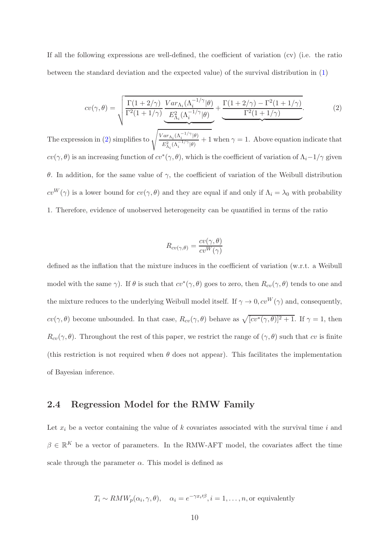If all the following expressions are well-defined, the coefficient of variation (cv) (i.e. the ratio between the standard deviation and the expected value) of the survival distribution in [\(1\)](#page-7-0)

<span id="page-9-0"></span>
$$
cv(\gamma,\theta) = \sqrt{\frac{\Gamma(1+2/\gamma)}{\Gamma^2(1+1/\gamma)} \underbrace{Var_{\Lambda_i}(\Lambda_i^{-1/\gamma}|\theta)}_{\mathcal{E}_{\Lambda_i}^2(\Lambda_i^{-1/\gamma}|\theta)} + \underbrace{\frac{\Gamma(1+2/\gamma) - \Gamma^2(1+1/\gamma)}{\Gamma^2(1+1/\gamma)}}_{\mathcal{E}_{\Lambda_i}^2(\Lambda_i^{-1/\gamma}|\theta)}.
$$
 (2)

The expression in [\(2\)](#page-9-0) simplifies to  $\sqrt{\frac{Var_{\Lambda_i}(\Lambda_i^{-1/\gamma}|\theta)}{E_{i}^2 + \left(\frac{1}{\gamma}\right)^2}}$  $\frac{d\sum_{i=1}^{N}(\Lambda_i - 1/\gamma)}{E_{\Lambda_i}^2(\Lambda_i^{-1/\gamma}|\theta)} + 1$  when  $\gamma = 1$ . Above equation indicate that  $cv(\gamma, \theta)$  is an increasing function of  $cv^*(\gamma, \theta)$ , which is the coefficient of variation of  $\Lambda_i$ -1/ $\gamma$  given θ. In addition, for the same value of γ, the coefficient of variation of the Weibull distribution  $cv^W(\gamma)$  is a lower bound for  $cv(\gamma, \theta)$  and they are equal if and only if  $\Lambda_i = \lambda_0$  with probability 1. Therefore, evidence of unobserved heterogeneity can be quantified in terms of the ratio

$$
R_{cv(\gamma,\theta)} = \frac{cv(\gamma,\theta)}{cv^W(\gamma)}
$$

defined as the inflation that the mixture induces in the coefficient of variation (w.r.t. a Weibull model with the same  $\gamma$ ). If  $\theta$  is such that  $cv^*(\gamma, \theta)$  goes to zero, then  $R_{cv}(\gamma, \theta)$  tends to one and the mixture reduces to the underlying Weibull model itself. If  $\gamma \to 0$ ,  $cv^W(\gamma)$  and, consequently,  $cv(\gamma, \theta)$  become unbounded. In that case,  $R_{cv}(\gamma, \theta)$  behave as  $\sqrt{[cv^*(\gamma, \theta)]^2 + 1}$ . If  $\gamma = 1$ , then  $R_{cv}(\gamma, \theta)$ . Throughout the rest of this paper, we restrict the range of  $(\gamma, \theta)$  such that cv is finite (this restriction is not required when  $\theta$  does not appear). This facilitates the implementation of Bayesian inference.

#### 2.4 Regression Model for the RMW Family

Let  $x_i$  be a vector containing the value of k covariates associated with the survival time i and  $\beta \in \mathbb{R}^K$  be a vector of parameters. In the RMW-AFT model, the covariates affect the time scale through the parameter  $\alpha$ . This model is defined as

$$
T_i \sim RMW_p(\alpha_i, \gamma, \theta)
$$
,  $\alpha_i = e^{-\gamma x_i/\beta}$ ,  $i = 1, ..., n$ , or equivalently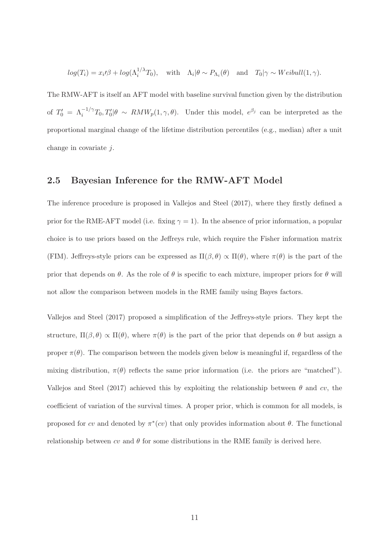$$
log(T_i) = x_i/\beta + log(\Lambda_i^{1/\lambda}T_0)
$$
, with  $\Lambda_i|\theta \sim P_{\Lambda_i}(\theta)$  and  $T_0|\gamma \sim Weibull(1, \gamma)$ .

The RMW-AFT is itself an AFT model with baseline survival function given by the distribution of  $T'_0 = \Lambda_i^{-1/\gamma} T_0, T'_0 | \theta \sim RMW_p(1, \gamma, \theta)$ . Under this model,  $e^{\beta_j}$  can be interpreted as the proportional marginal change of the lifetime distribution percentiles (e.g., median) after a unit change in covariate j.

#### 2.5 Bayesian Inference for the RMW-AFT Model

The inference procedure is proposed in Vallejos and Steel (2017), where they firstly defined a prior for the RME-AFT model (i.e. fixing  $\gamma = 1$ ). In the absence of prior information, a popular choice is to use priors based on the Jeffreys rule, which require the Fisher information matrix (FIM). Jeffreys-style priors can be expressed as  $\Pi(\beta, \theta) \propto \Pi(\theta)$ , where  $\pi(\theta)$  is the part of the prior that depends on  $\theta$ . As the role of  $\theta$  is specific to each mixture, improper priors for  $\theta$  will not allow the comparison between models in the RME family using Bayes factors.

Vallejos and Steel (2017) proposed a simplification of the Jeffreys-style priors. They kept the structure,  $\Pi(\beta, \theta) \propto \Pi(\theta)$ , where  $\pi(\theta)$  is the part of the prior that depends on  $\theta$  but assign a proper  $\pi(\theta)$ . The comparison between the models given below is meaningful if, regardless of the mixing distribution,  $\pi(\theta)$  reflects the same prior information (i.e. the priors are "matched"). Vallejos and Steel (2017) achieved this by exploiting the relationship between  $\theta$  and cv, the coefficient of variation of the survival times. A proper prior, which is common for all models, is proposed for cv and denoted by  $\pi^*(cv)$  that only provides information about  $\theta$ . The functional relationship between cv and  $\theta$  for some distributions in the RME family is derived here.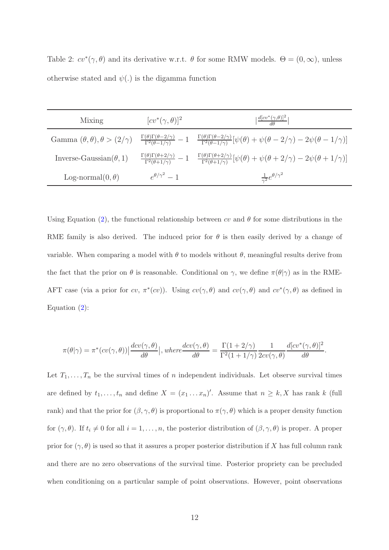Table 2:  $cv^*(\gamma, \theta)$  and its derivative w.r.t.  $\theta$  for some RMW models.  $\Theta = (0, \infty)$ , unless otherwise stated and  $\psi(.)$  is the digamma function

| Mixing                         | $[cv^*(\gamma, \theta)]^2$ | $\left \frac{d[cv^*(\gamma,\theta)]^2}{d\theta}\right $                                                                                                                                                                                                                          |
|--------------------------------|----------------------------|----------------------------------------------------------------------------------------------------------------------------------------------------------------------------------------------------------------------------------------------------------------------------------|
|                                |                            | Gamma $(\theta, \theta), \theta > (2/\gamma)$ $\frac{\Gamma(\theta)\Gamma(\theta - 2/\gamma)}{\Gamma^2(\theta - 1/\gamma)} - 1$ $\frac{\Gamma(\theta)\Gamma(\theta - 2/\gamma)}{\Gamma^2(\theta - 1/\gamma)}[\psi(\theta) + \psi(\theta - 2/\gamma) - 2\psi(\theta - 1/\gamma)]$ |
| Inverse-Gaussian $(\theta, 1)$ |                            | $\frac{\Gamma(\theta)\Gamma(\theta+2/\gamma)}{\Gamma^2(\theta+1/\gamma)}-1-\frac{\Gamma(\theta)\Gamma(\theta+2/\gamma)}{\Gamma^2(\theta+1/\gamma)}[\psi(\theta)+\psi(\theta+2/\gamma)-2\psi(\theta+1/\gamma)]$                                                                   |
| Log-normal $(0, \theta)$       | $e^{\theta/\gamma^2}-1$    | $\frac{1}{\gamma^2}e^{\theta/\gamma^2}$                                                                                                                                                                                                                                          |

Using Equation [\(2\)](#page-9-0), the functional relationship between cv and  $\theta$  for some distributions in the RME family is also derived. The induced prior for  $\theta$  is then easily derived by a change of variable. When comparing a model with  $\theta$  to models without  $\theta$ , meaningful results derive from the fact that the prior on  $\theta$  is reasonable. Conditional on  $\gamma$ , we define  $\pi(\theta|\gamma)$  as in the RME-AFT case (via a prior for cv,  $\pi^*(cv)$ ). Using  $cv(\gamma, \theta)$  and  $cv(\gamma, \theta)$  and  $cv^*(\gamma, \theta)$  as defined in Equation [\(2\)](#page-9-0):

$$
\pi(\theta|\gamma) = \pi^*(cv(\gamma,\theta)) \left| \frac{dv(\gamma,\theta)}{d\theta} \right|, where \frac{dv(\gamma,\theta)}{d\theta} = \frac{\Gamma(1+2/\gamma)}{\Gamma^2(1+1/\gamma)} \frac{1}{2cv(\gamma,\theta)} \frac{d[cv^*(\gamma,\theta)]^2}{d\theta}.
$$

Let  $T_1, \ldots, T_n$  be the survival times of n independent individuals. Let observe survival times are defined by  $t_1, \ldots, t_n$  and define  $X = (x_1 \ldots x_n)'$ . Assume that  $n \geq k, X$  has rank k (full rank) and that the prior for  $(\beta, \gamma, \theta)$  is proportional to  $\pi(\gamma, \theta)$  which is a proper density function for  $(\gamma, \theta)$ . If  $t_i \neq 0$  for all  $i = 1, \ldots, n$ , the posterior distribution of  $(\beta, \gamma, \theta)$  is proper. A proper prior for  $(\gamma, \theta)$  is used so that it assures a proper posterior distribution if X has full column rank and there are no zero observations of the survival time. Posterior propriety can be precluded when conditioning on a particular sample of point observations. However, point observations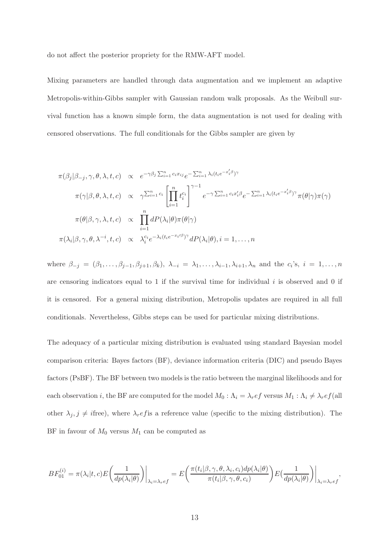do not affect the posterior propriety for the RMW-AFT model.

Mixing parameters are handled through data augmentation and we implement an adaptive Metropolis-within-Gibbs sampler with Gaussian random walk proposals. As the Weibull survival function has a known simple form, the data augmentation is not used for dealing with censored observations. The full conditionals for the Gibbs sampler are given by

$$
\pi(\beta_j|\beta_{-j}, \gamma, \theta, \lambda, t, c) \propto e^{-\gamma\beta_j \sum_{i=1}^n c_i x_{ij}} e^{-\sum_{i=1}^n \lambda_i (t_i e^{-x'_i \beta})\gamma}
$$
\n
$$
\pi(\gamma|\beta, \theta, \lambda, t, c) \propto \gamma^{\sum_{i=1}^n c_i} \left[ \prod_{i=1}^n t_i^{c_i} \right]^{\gamma-1} e^{-\gamma \sum_{i=1}^n c_i x'_i \beta} e^{-\sum_{i=1}^n \lambda_i (t_i e^{-x'_i \beta})\gamma} \pi(\theta|\gamma)\pi(\gamma)
$$
\n
$$
\pi(\theta|\beta, \gamma, \lambda, t, c) \propto \prod_{i=1}^n dP(\lambda_i|\theta)\pi(\theta|\gamma)
$$
\n
$$
\pi(\lambda_i|\beta, \gamma, \theta, \lambda^{-i}, t, c) \propto \lambda_i^{c_i} e^{-\lambda_i (t_i e^{-x_i \beta})\gamma} dP(\lambda_i|\theta), i = 1, ..., n
$$

where  $\beta_{-j} = (\beta_1, \ldots, \beta_{j-1}, \beta_{j+1}, \beta_k), \ \lambda_{-i} = \lambda_1, \ldots, \lambda_{i-1}, \lambda_{i+1}, \lambda_n$  and the  $c_i$ 's,  $i = 1, \ldots, n$ are censoring indicators equal to 1 if the survival time for individual  $i$  is observed and 0 if it is censored. For a general mixing distribution, Metropolis updates are required in all full conditionals. Nevertheless, Gibbs steps can be used for particular mixing distributions.

The adequacy of a particular mixing distribution is evaluated using standard Bayesian model comparison criteria: Bayes factors (BF), deviance information criteria (DIC) and pseudo Bayes factors (PsBF). The BF between two models is the ratio between the marginal likelihoods and for each observation i, the BF are computed for the model  $M_0 : \Lambda_i = \lambda_r e f$  versus  $M_1 : \Lambda_i \neq \lambda_r e f$  (all other  $\lambda_j, j \neq i$  free), where  $\lambda_r e f$  is a reference value (specific to the mixing distribution). The BF in favour of  $M_0$  versus  $M_1$  can be computed as

$$
BF_{01}^{(i)} = \pi(\lambda_i | t, c) E\left(\frac{1}{dp(\lambda_i | \theta)}\right)\Big|_{\lambda_i = \lambda_r e f} = E\left(\frac{\pi(t_i | \beta, \gamma, \theta, \lambda_i, c_i) dp(\lambda_i | \theta)}{\pi(t_i | \beta, \gamma, \theta, c_i)}\right) E\left(\frac{1}{dp(\lambda_i | \theta)}\right)\Big|_{\lambda_i = \lambda_r e f},
$$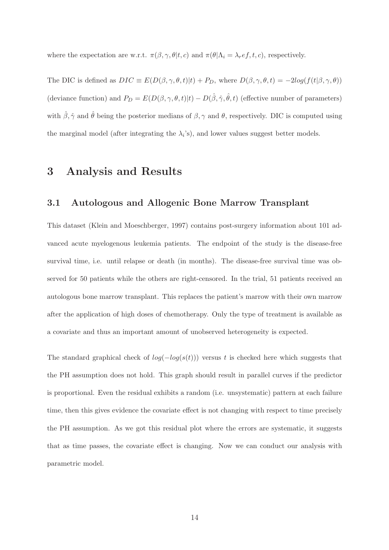where the expectation are w.r.t.  $\pi(\beta, \gamma, \theta | t, c)$  and  $\pi(\theta | \Lambda_i = \lambda_r e f, t, c)$ , respectively.

The DIC is defined as  $DIC \equiv E(D(\beta, \gamma, \theta, t)|t) + P_D$ , where  $D(\beta, \gamma, \theta, t) = -2log(f(t|\beta, \gamma, \theta))$ (deviance function) and  $P_D = E(D(\beta, \gamma, \theta, t)|t) - D(\hat{\beta}, \hat{\gamma}, \hat{\theta}, t)$  (effective number of parameters) with  $\hat{\beta}, \hat{\gamma}$  and  $\hat{\theta}$  being the posterior medians of  $\beta, \gamma$  and  $\theta$ , respectively. DIC is computed using the marginal model (after integrating the  $\lambda_i$ 's), and lower values suggest better models.

## 3 Analysis and Results

#### 3.1 Autologous and Allogenic Bone Marrow Transplant

This dataset (Klein and Moeschberger, 1997) contains post-surgery information about 101 advanced acute myelogenous leukemia patients. The endpoint of the study is the disease-free survival time, i.e. until relapse or death (in months). The disease-free survival time was observed for 50 patients while the others are right-censored. In the trial, 51 patients received an autologous bone marrow transplant. This replaces the patient's marrow with their own marrow after the application of high doses of chemotherapy. Only the type of treatment is available as a covariate and thus an important amount of unobserved heterogeneity is expected.

The standard graphical check of  $log(-log(s(t)))$  versus t is checked here which suggests that the PH assumption does not hold. This graph should result in parallel curves if the predictor is proportional. Even the residual exhibits a random (i.e. unsystematic) pattern at each failure time, then this gives evidence the covariate effect is not changing with respect to time precisely the PH assumption. As we got this residual plot where the errors are systematic, it suggests that as time passes, the covariate effect is changing. Now we can conduct our analysis with parametric model.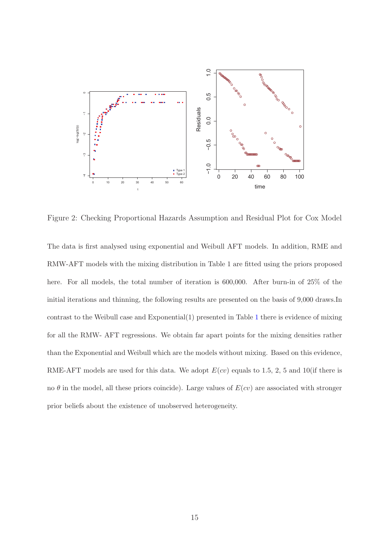

Figure 2: Checking Proportional Hazards Assumption and Residual Plot for Cox Model

The data is first analysed using exponential and Weibull AFT models. In addition, RME and RMW-AFT models with the mixing distribution in Table 1 are fitted using the priors proposed here. For all models, the total number of iteration is 600,000. After burn-in of 25% of the initial iterations and thinning, the following results are presented on the basis of 9,000 draws.In contrast to the Weibull case and Exponential(1) presented in Table [1](#page-8-0) there is evidence of mixing for all the RMW- AFT regressions. We obtain far apart points for the mixing densities rather than the Exponential and Weibull which are the models without mixing. Based on this evidence, RME-AFT models are used for this data. We adopt  $E(cv)$  equals to 1.5, 2, 5 and 10(if there is no  $\theta$  in the model, all these priors coincide). Large values of  $E(cv)$  are associated with stronger prior beliefs about the existence of unobserved heterogeneity.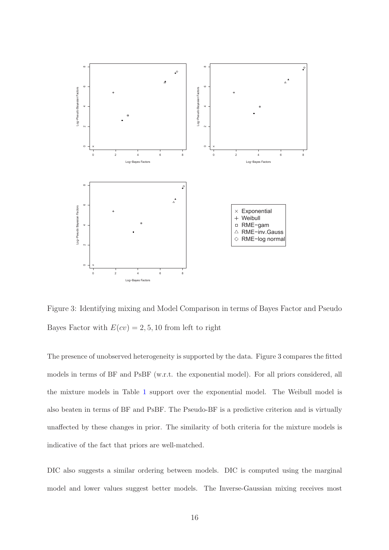

Figure 3: Identifying mixing and Model Comparison in terms of Bayes Factor and Pseudo Bayes Factor with  $E(cv) = 2, 5, 10$  from left to right

The presence of unobserved heterogeneity is supported by the data. Figure 3 compares the fitted models in terms of BF and PsBF (w.r.t. the exponential model). For all priors considered, all the mixture models in Table [1](#page-8-0) support over the exponential model. The Weibull model is also beaten in terms of BF and PsBF. The Pseudo-BF is a predictive criterion and is virtually unaffected by these changes in prior. The similarity of both criteria for the mixture models is indicative of the fact that priors are well-matched.

DIC also suggests a similar ordering between models. DIC is computed using the marginal model and lower values suggest better models. The Inverse-Gaussian mixing receives most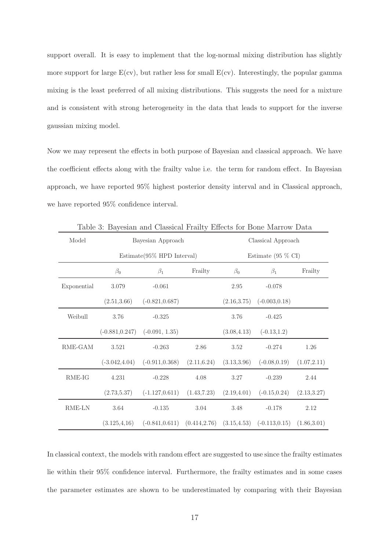support overall. It is easy to implement that the log-normal mixing distribution has slightly more support for large  $E(cv)$ , but rather less for small  $E(cv)$ . Interestingly, the popular gamma mixing is the least preferred of all mixing distributions. This suggests the need for a mixture and is consistent with strong heterogeneity in the data that leads to support for the inverse gaussian mixing model.

Now we may represent the effects in both purpose of Bayesian and classical approach. We have the coefficient effects along with the frailty value i.e. the term for random effect. In Bayesian approach, we have reported 95% highest posterior density interval and in Classical approach, we have reported 95% confidence interval.

| Table 0. DayCsian and Chassical Franty Enters for Done Marrow Data |                               |                                                                   |              |                              |                                |              |  |
|--------------------------------------------------------------------|-------------------------------|-------------------------------------------------------------------|--------------|------------------------------|--------------------------------|--------------|--|
| Model                                                              | Bayesian Approach             |                                                                   |              | Classical Approach           |                                |              |  |
|                                                                    | $Estimate(95\% HPD Interval)$ |                                                                   |              | Estimate $(95\% \text{ CI})$ |                                |              |  |
|                                                                    | $\beta_0$                     | $\beta_1$                                                         | Frailty      | $\beta_0$                    | $\beta_1$                      | Frailty      |  |
| Exponential                                                        | 3.079                         | $-0.061$                                                          |              | 2.95                         | $-0.078$                       |              |  |
|                                                                    | (2.51, 3.66)                  | $(-0.821, 0.687)$                                                 |              | (2.16, 3.75)                 | $(-0.003, 0.18)$               |              |  |
| Weibull                                                            | 3.76                          | $-0.325$                                                          |              | 3.76                         | $-0.425$                       |              |  |
|                                                                    |                               | $(-0.881, 0.247)$ $(-0.091, 1.35)$                                |              | (3.08, 4.13)                 | $(-0.13, 1.2)$                 |              |  |
| RME-GAM                                                            | 3.521                         | $-0.263$                                                          | 2.86         | 3.52                         | $-0.274$                       | 1.26         |  |
|                                                                    | $(-3.042, 4.04)$              | $(-0.911, 0.368)$                                                 | (2.11, 6.24) | (3.13, 3.96)                 | $(-0.08, 0.19)$                | (1.07, 2.11) |  |
| RME-IG                                                             | 4.231                         | $-0.228$                                                          | 4.08         | 3.27                         | $-0.239$                       | 2.44         |  |
|                                                                    | (2.73, 5.37)                  | $(-1.127, 0.611)$ $(1.43, 7.23)$                                  |              |                              | $(2.19, 4.01)$ $(-0.15, 0.24)$ | (2.13, 3.27) |  |
| RME-LN                                                             | 3.64                          | $-0.135$                                                          | 3.04         | 3.48                         | $-0.178$                       | 2.12         |  |
|                                                                    | (3.125, 4.16)                 | $(-0.841, 0.611)$ $(0.414, 2.76)$ $(3.15, 4.53)$ $(-0.113, 0.15)$ |              |                              |                                | (1.86, 3.01) |  |

Table 3: Bayesian and Classical Frailty Effects for Bone Marrow Data

In classical context, the models with random effect are suggested to use since the frailty estimates lie within their 95% confidence interval. Furthermore, the frailty estimates and in some cases the parameter estimates are shown to be underestimated by comparing with their Bayesian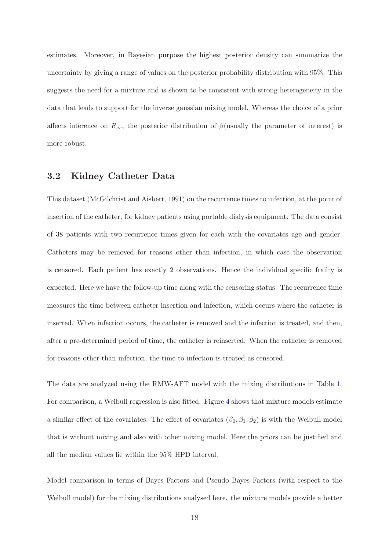estimates. Moreover, in Bayesian purpose the highest posterior density can summarize the uncertainty by giving a range of values on the posterior probability distribution with 95%. This suggests the need for a mixture and is shown to be consistent with strong heterogeneity in the data that leads to support for the inverse gaussian mixing model. Whereas the choice of a prior affects inference on  $R_{cv}$ , the posterior distribution of  $\beta$ (usually the parameter of interest) is more robust.

#### 3.2 Kidney Catheter Data

This dataset (McGilchrist and Aisbett, 1991) on the recurrence times to infection, at the point of insertion of the catheter, for kidney patients using portable dialysis equipment. The data consist of 38 patients with two recurrence times given for each with the covariates age and gender. Catheters may be removed for reasons other than infection, in which case the observation is censored. Each patient has exactly 2 observations. Hence the individual specific frailty is expected. Here we have the follow-up time along with the censoring status. The recurrence time measures the time between catheter insertion and infection, which occurs where the catheter is inserted. When infection occurs, the catheter is removed and the infection is treated, and then, after a pre-determined period of time, the catheter is reinserted. When the catheter is removed for reasons other than infection, the time to infection is treated as censored.

The data are analyzed using the RMW-AFT model with the mixing distributions in Table [1.](#page-8-0) For comparison, a Weibull regression is also fitted. Figure [4](#page-18-0) shows that mixture models estimate a similar effect of the covariates. The effect of covariates  $(\beta_0, \beta_1, \beta_2)$  is with the Weibull model that is without mixing and also with other mixing model. Here the priors can be justified and all the median values lie within the 95% HPD interval.

Model comparison in terms of Bayes Factors and Pseudo Bayes Factors (with respect to the Weibull model) for the mixing distributions analysed here. the mixture models provide a better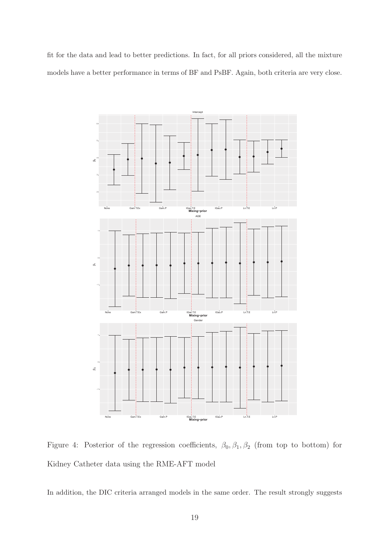fit for the data and lead to better predictions. In fact, for all priors considered, all the mixture models have a better performance in terms of BF and PsBF. Again, both criteria are very close.



<span id="page-18-0"></span>Figure 4: Posterior of the regression coefficients,  $\beta_0$ ,  $\beta_1$ ,  $\beta_2$  (from top to bottom) for Kidney Catheter data using the RME-AFT model

In addition, the DIC criteria arranged models in the same order. The result strongly suggests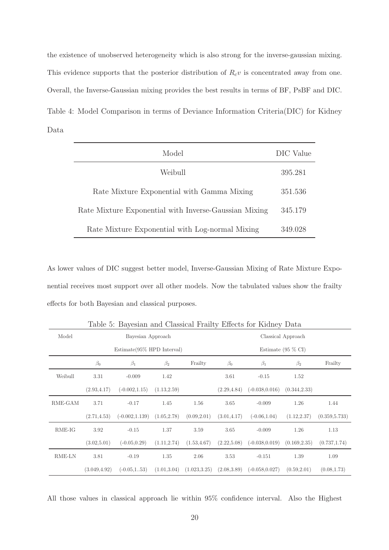the existence of unobserved heterogeneity which is also strong for the inverse-gaussian mixing. This evidence supports that the posterior distribution of  $R_c v$  is concentrated away from one. Overall, the Inverse-Gaussian mixing provides the best results in terms of BF, PsBF and DIC. Table 4: Model Comparison in terms of Deviance Information Criteria(DIC) for Kidney Data

| Model                                                 | DIC Value |
|-------------------------------------------------------|-----------|
| Weibull                                               | 395.281   |
| Rate Mixture Exponential with Gamma Mixing            | 351.536   |
| Rate Mixture Exponential with Inverse-Gaussian Mixing | 345.179   |
| Rate Mixture Exponential with Log-normal Mixing       | 349.028   |

As lower values of DIC suggest better model, Inverse-Gaussian Mixing of Rate Mixture Exponential receives most support over all other models. Now the tabulated values show the frailty effects for both Bayesian and classical purposes.

|          |                               | ◡                 |              |               |                              | ୰                 |               |                |
|----------|-------------------------------|-------------------|--------------|---------------|------------------------------|-------------------|---------------|----------------|
| Model    | Bayesian Approach             |                   |              |               | Classical Approach           |                   |               |                |
|          | $Estimate(95\% HPD Interval)$ |                   |              |               | Estimate $(95\% \text{ CI})$ |                   |               |                |
|          | $\beta_0$                     | $\beta_1$         | $\beta_2$    | Frailty       | $\beta_0$                    | $\beta_1$         | $\beta_2$     | Frailty        |
| Weibull  | 3.31                          | $-0.009$          | 1.42         |               | 3.61                         | $-0.15$           | 1.52          |                |
|          | (2.93, 4.17)                  | $(-0.002, 1.15)$  | (1.13, 2.59) |               | (2.29, 4.84)                 | $(-0.038, 0.016)$ | (0.344, 2.33) |                |
| RME-GAM  | 3.71                          | $-0.17$           | 1.45         | 1.56          | 3.65                         | $-0.009$          | 1.26          | 1.44           |
|          | (2.71, 4.53)                  | $(-0.002, 1.139)$ | (1.05, 2.78) | (0.09, 2.01)  | (3.01, 4.17)                 | $(-0.06, 1.04)$   | (1.12, 2.37)  | (0.359, 5.733) |
| $RME-IG$ | 3.92                          | $-0.15$           | 1.37         | 3.59          | 3.65                         | $-0.009$          | 1.26          | 1.13           |
|          | (3.02, 5.01)                  | $(-0.05, 0.29)$   | (1.11, 2.74) | (1.53, 4.67)  | (2.22,5.08)                  | $(-0.038, 0.019)$ | (0.169, 2.35) | (0.737, 1.74)  |
| RME-LN   | 3.81                          | $-0.19$           | 1.35         | 2.06          | 3.53                         | $-0.151$          | 1.39          | 1.09           |
|          | (3.049, 4.92)                 | $(-0.05, 1.05)$   | (1.01, 3.04) | (1.023, 3.25) | (2.08, 3.89)                 | $(-0.058, 0.027)$ | (0.59, 2.01)  | (0.08, 1.73)   |

Table 5: Bayesian and Classical Frailty Effects for Kidney Data

All those values in classical approach lie within 95% confidence interval. Also the Highest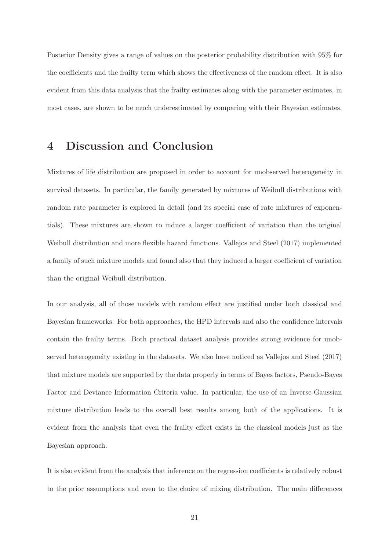Posterior Density gives a range of values on the posterior probability distribution with 95% for the coefficients and the frailty term which shows the effectiveness of the random effect. It is also evident from this data analysis that the frailty estimates along with the parameter estimates, in most cases, are shown to be much underestimated by comparing with their Bayesian estimates.

### 4 Discussion and Conclusion

Mixtures of life distribution are proposed in order to account for unobserved heterogeneity in survival datasets. In particular, the family generated by mixtures of Weibull distributions with random rate parameter is explored in detail (and its special case of rate mixtures of exponentials). These mixtures are shown to induce a larger coefficient of variation than the original Weibull distribution and more flexible hazard functions. Vallejos and Steel (2017) implemented a family of such mixture models and found also that they induced a larger coefficient of variation than the original Weibull distribution.

In our analysis, all of those models with random effect are justified under both classical and Bayesian frameworks. For both approaches, the HPD intervals and also the confidence intervals contain the frailty terms. Both practical dataset analysis provides strong evidence for unobserved heterogeneity existing in the datasets. We also have noticed as Vallejos and Steel (2017) that mixture models are supported by the data properly in terms of Bayes factors, Pseudo-Bayes Factor and Deviance Information Criteria value. In particular, the use of an Inverse-Gaussian mixture distribution leads to the overall best results among both of the applications. It is evident from the analysis that even the frailty effect exists in the classical models just as the Bayesian approach.

It is also evident from the analysis that inference on the regression coefficients is relatively robust to the prior assumptions and even to the choice of mixing distribution. The main differences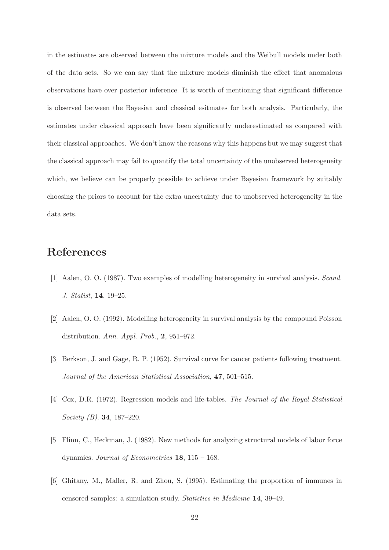in the estimates are observed between the mixture models and the Weibull models under both of the data sets. So we can say that the mixture models diminish the effect that anomalous observations have over posterior inference. It is worth of mentioning that significant difference is observed between the Bayesian and classical esitmates for both analysis. Particularly, the estimates under classical approach have been significantly underestimated as compared with their classical approaches. We don't know the reasons why this happens but we may suggest that the classical approach may fail to quantify the total uncertainty of the unobserved heterogeneity which, we believe can be properly possible to achieve under Bayesian framework by suitably choosing the priors to account for the extra uncertainty due to unobserved heterogeneity in the data sets.

# References

- [1] Aalen, O. O. (1987). Two examples of modelling heterogeneity in survival analysis. *Scand. J. Statist*, 14, 19–25.
- [2] Aalen, O. O. (1992). Modelling heterogeneity in survival analysis by the compound Poisson distribution. *Ann. Appl. Prob.*, 2, 951–972.
- [3] Berkson, J. and Gage, R. P. (1952). Survival curve for cancer patients following treatment. *Journal of the American Statistical Association*, 47, 501–515.
- [4] Cox, D.R. (1972). Regression models and life-tables. *The Journal of the Royal Statistical Society (B)*. 34, 187–220.
- [5] Flinn, C., Heckman, J. (1982). New methods for analyzing structural models of labor force dynamics. *Journal of Econometrics* 18, 115 – 168.
- [6] Ghitany, M., Maller, R. and Zhou, S. (1995). Estimating the proportion of immunes in censored samples: a simulation study. *Statistics in Medicine* 14, 39–49.